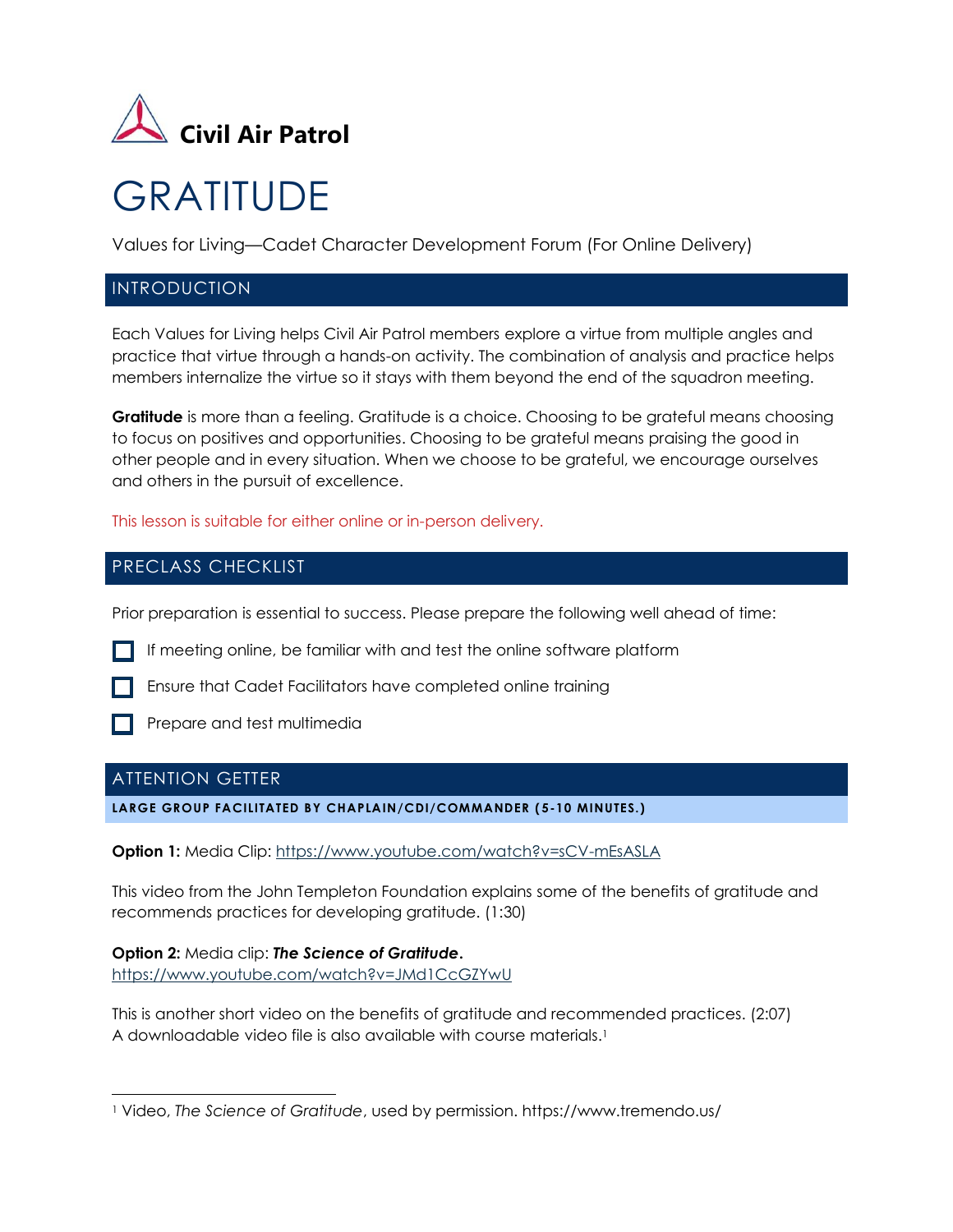

# **GRATITUDE**

Values for Living—Cadet Character Development Forum (For Online Delivery)

# INTRODUCTION

Each Values for Living helps Civil Air Patrol members explore a virtue from multiple angles and practice that virtue through a hands-on activity. The combination of analysis and practice helps members internalize the virtue so it stays with them beyond the end of the squadron meeting.

**Gratitude** is more than a feeling. Gratitude is a choice. Choosing to be grateful means choosing to focus on positives and opportunities. Choosing to be grateful means praising the good in other people and in every situation. When we choose to be grateful, we encourage ourselves and others in the pursuit of excellence.

This lesson is suitable for either online or in-person delivery.

# PRECLASS CHECKLIST

Prior preparation is essential to success. Please prepare the following well ahead of time:

If meeting online, be familiar with and test the online software platform

**Ensure that Cadet Facilitators have completed online training** 



**Prepare and test multimedia** 

# ATTENTION GETTER

**LARGE GROUP FACILITATED BY CHAPLAIN/CDI/COMMANDER ( 5-10 MINUTES.)**

**Option 1:** Media Clip:<https://www.youtube.com/watch?v=sCV-mEsASLA>

This video from the John Templeton Foundation explains some of the benefits of gratitude and recommends practices for developing gratitude. (1:30)

**Option 2:** Media clip: *The Science of Gratitude***.** <https://www.youtube.com/watch?v=JMd1CcGZYwU>

This is another short video on the benefits of gratitude and recommended practices. (2:07) A downloadable video file is also available with course materials.<sup>1</sup>

<sup>1</sup> Video, *The Science of Gratitude*, used by permission. https://www.tremendo.us/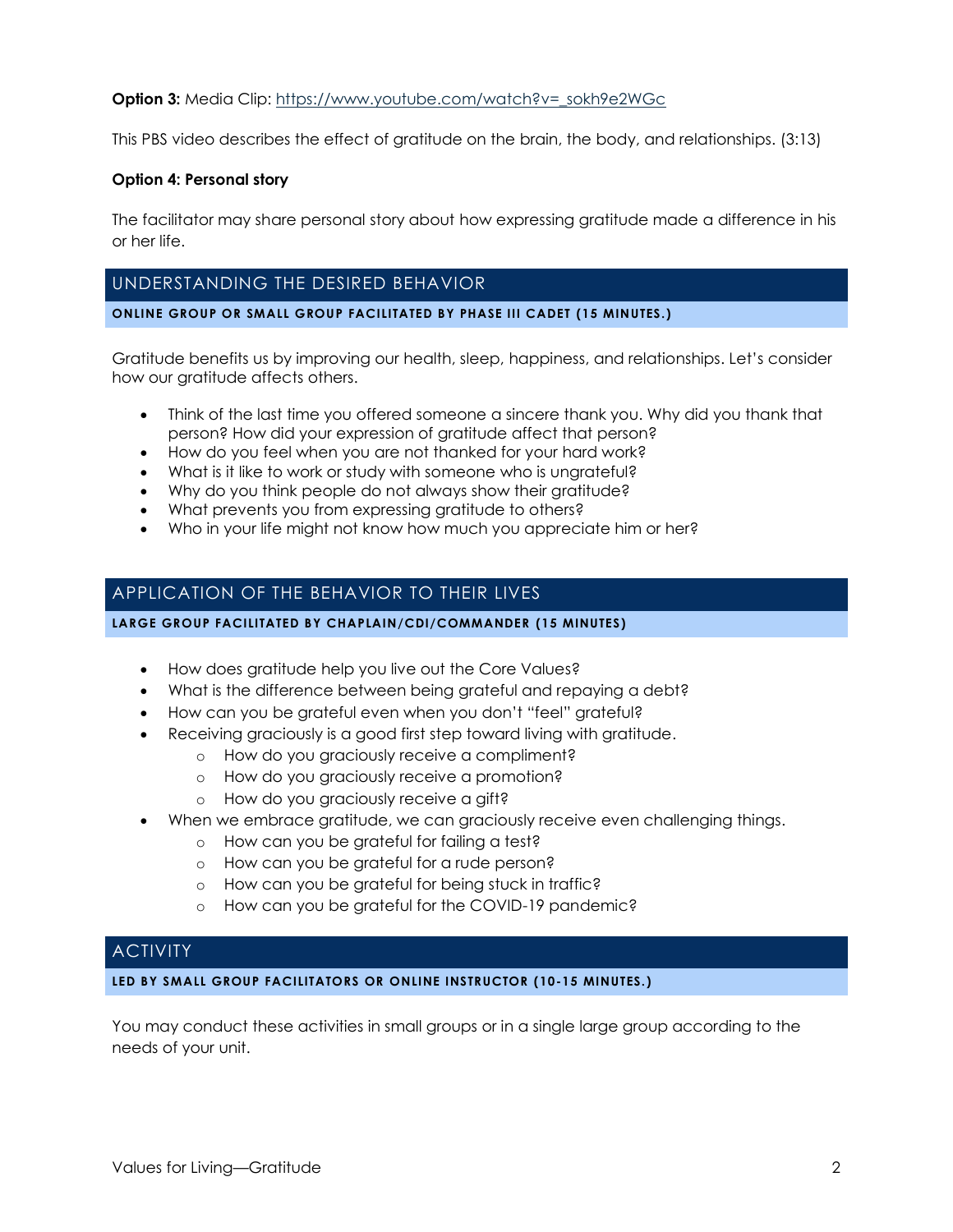#### **Option 3:** Media Clip: https://www.youtube.com/watch?v= sokh9e2WGc

This PBS video describes the effect of gratitude on the brain, the body, and relationships. (3:13)

#### **Option 4: Personal story**

The facilitator may share personal story about how expressing gratitude made a difference in his or her life.

# UNDERSTANDING THE DESIRED BEHAVIOR

#### **ONLINE GROUP OR SMALL GROUP FACILITATED BY PHASE III CADET (15 MINUTES.)**

Gratitude benefits us by improving our health, sleep, happiness, and relationships. Let's consider how our gratitude affects others.

- Think of the last time you offered someone a sincere thank you. Why did you thank that person? How did your expression of gratitude affect that person?
- How do you feel when you are not thanked for your hard work?
- What is it like to work or study with someone who is ungrateful?
- Why do you think people do not always show their gratitude?
- What prevents you from expressing gratitude to others?
- Who in your life might not know how much you appreciate him or her?

# APPLICATION OF THE BEHAVIOR TO THEIR LIVES

#### **LARGE GROUP FACILITATED BY CHAPLAIN/CDI/COMMANDER (15 MINUTES)**

- How does gratitude help you live out the Core Values?
- What is the difference between being grateful and repaying a debt?
- How can you be grateful even when you don't "feel" grateful?
- Receiving graciously is a good first step toward living with gratitude.
	- o How do you graciously receive a compliment?
	- o How do you graciously receive a promotion?
	- o How do you graciously receive a gift?
- When we embrace gratitude, we can graciously receive even challenging things.
	- o How can you be grateful for failing a test?
	- o How can you be grateful for a rude person?
	- o How can you be grateful for being stuck in traffic?
	- o How can you be grateful for the COVID-19 pandemic?

## **ACTIVITY**

**LED BY SMALL GROUP FACILITATORS OR ONLINE INSTRUCTOR (10-15 MINUTES.)**

You may conduct these activities in small groups or in a single large group according to the needs of your unit.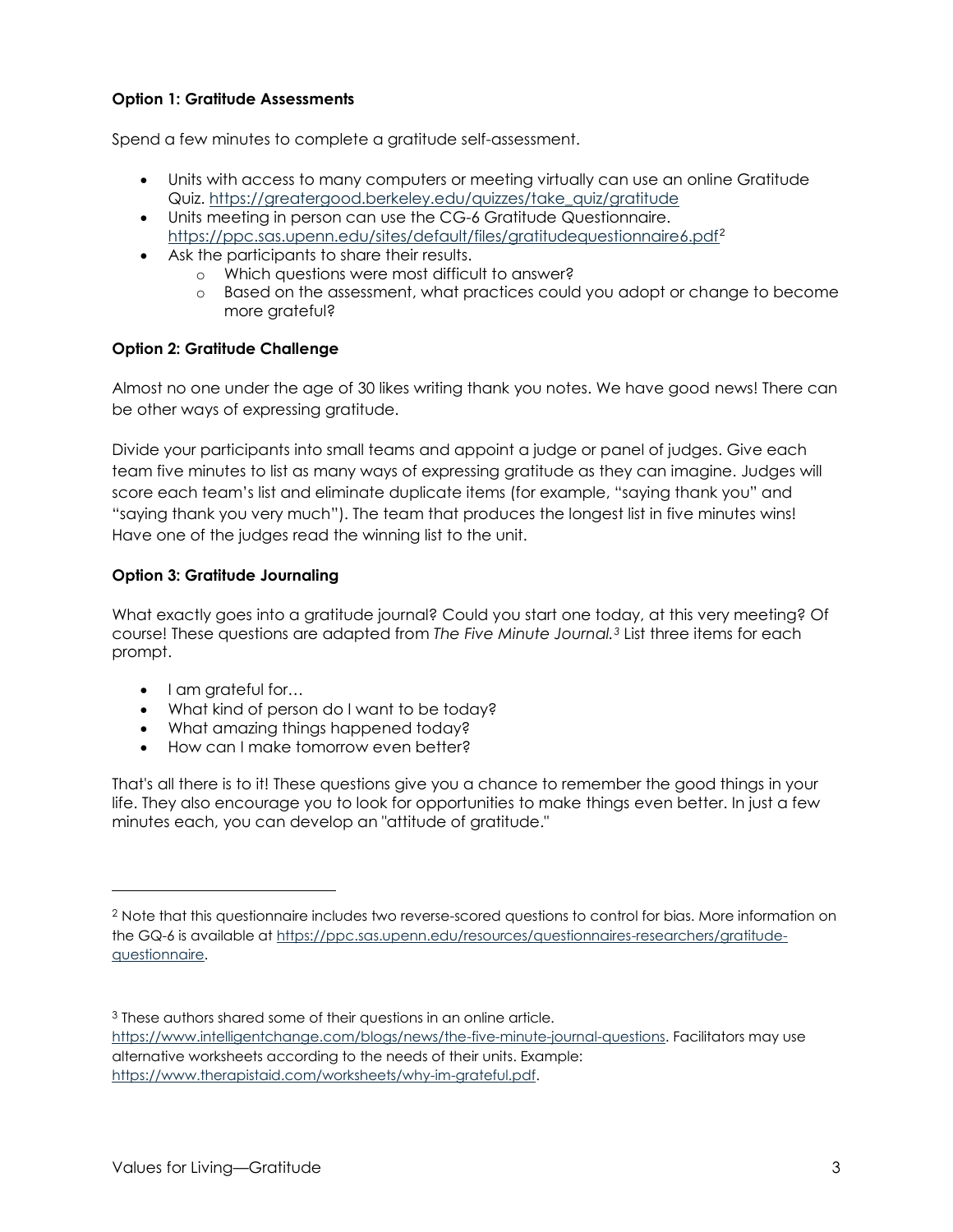## **Option 1: Gratitude Assessments**

Spend a few minutes to complete a gratitude self-assessment.

- Units with access to many computers or meeting virtually can use an online Gratitude Quiz. [https://greatergood.berkeley.edu/quizzes/take\\_quiz/gratitude](https://greatergood.berkeley.edu/quizzes/take_quiz/gratitude)
- Units meeting in person can use the CG-6 Gratitude Questionnaire. <https://ppc.sas.upenn.edu/sites/default/files/gratitudequestionnaire6.pdf><sup>2</sup>
- Ask the participants to share their results.
	- o Which questions were most difficult to answer?
	- o Based on the assessment, what practices could you adopt or change to become more grateful?

## **Option 2: Gratitude Challenge**

Almost no one under the age of 30 likes writing thank you notes. We have good news! There can be other ways of expressing gratitude.

Divide your participants into small teams and appoint a judge or panel of judges. Give each team five minutes to list as many ways of expressing gratitude as they can imagine. Judges will score each team's list and eliminate duplicate items (for example, "saying thank you" and "saying thank you very much"). The team that produces the longest list in five minutes wins! Have one of the judges read the winning list to the unit.

## **Option 3: Gratitude Journaling**

What exactly goes into a gratitude journal? Could you start one today, at this very meeting? Of course! These questions are adapted from *The Five Minute Journal.<sup>3</sup>* List three items for each prompt.

- I am grateful for...
- What kind of person do I want to be today?
- What amazing things happened today?
- How can I make tomorrow even better?

That's all there is to it! These questions give you a chance to remember the good things in your life. They also encourage you to look for opportunities to make things even better. In just a few minutes each, you can develop an "attitude of gratitude."

<sup>2</sup> Note that this questionnaire includes two reverse-scored questions to control for bias. More information on the GQ-6 is available at [https://ppc.sas.upenn.edu/resources/questionnaires-researchers/gratitude](https://ppc.sas.upenn.edu/resources/questionnaires-researchers/gratitude-questionnaire)[questionnaire.](https://ppc.sas.upenn.edu/resources/questionnaires-researchers/gratitude-questionnaire)

<sup>&</sup>lt;sup>3</sup> These authors shared some of their questions in an online article.

[https://www.intelligentchange.com/blogs/news/the-five-minute-journal-questions.](https://www.intelligentchange.com/blogs/news/the-five-minute-journal-questions) Facilitators may use alternative worksheets according to the needs of their units. Example: [https://www.therapistaid.com/worksheets/why-im-grateful.pdf.](https://www.therapistaid.com/worksheets/why-im-grateful.pdf)